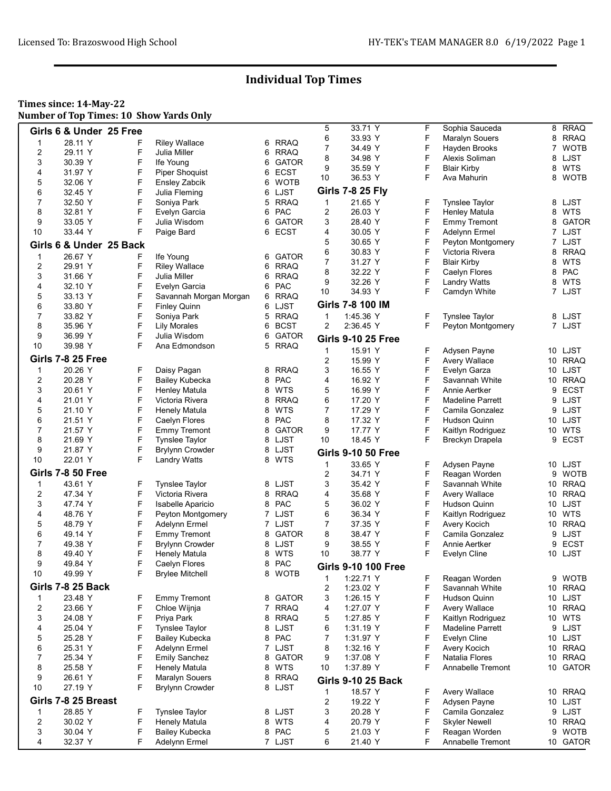### Times since: 14-May-22 Number of Top Times: 10 Show Yards Only

|                         | Girls 6 & Under 25 Free  |   |                        |    |              | 5              | 33.71 Y                    | F | Sophia Sauceda          |                 | 8 RRAQ       |
|-------------------------|--------------------------|---|------------------------|----|--------------|----------------|----------------------------|---|-------------------------|-----------------|--------------|
| 1                       | 28.11 Y                  | F | <b>Riley Wallace</b>   | 6  | <b>RRAQ</b>  | 6              | 33.93 Y                    | F | Maralyn Souers          | 8               | <b>RRAQ</b>  |
| $\overline{\mathbf{c}}$ | 29.11 Y                  | F | Julia Miller           |    | RRAQ         | 7              | 34.49 Y                    | F | Hayden Brooks           | $\overline{7}$  | <b>WOTB</b>  |
|                         |                          |   |                        | 6  |              | 8              | 34.98 Y                    | F | Alexis Soliman          | 8               | LJST         |
| 3                       | 30.39 Y                  | F | Ife Young              | 6  | <b>GATOR</b> | 9              | 35.59 Y                    | F | <b>Blair Kirby</b>      | 8               | <b>WTS</b>   |
| 4                       | 31.97 Y                  | F | <b>Piper Shoquist</b>  | 6  | <b>ECST</b>  | 10             | 36.53 Y                    | F | Ava Mahurin             | 8               | <b>WOTB</b>  |
| 5                       | 32.06 Y                  | F | <b>Ensley Zabcik</b>   | 6  | <b>WOTB</b>  |                |                            |   |                         |                 |              |
| 6                       | 32.45 Y                  | F | Julia Fleming          |    | 6 LJST       |                | <b>Girls 7-8 25 Fly</b>    |   |                         |                 |              |
| $\overline{7}$          | 32.50 Y                  | F | Soniya Park            | 5  | <b>RRAQ</b>  | 1              | 21.65 Y                    | F | <b>Tynslee Taylor</b>   |                 | 8 LJST       |
| 8                       | 32.81 Y                  | F |                        |    | PAC          | 2              | 26.03 Y                    | F |                         | 8               | <b>WTS</b>   |
|                         |                          |   | Evelyn Garcia          | 6. |              |                |                            |   | <b>Henley Matula</b>    |                 |              |
| 9                       | 33.05 Y                  | F | Julia Wisdom           | 6  | <b>GATOR</b> | 3              | 28.40 Y                    | F | <b>Emmy Tremont</b>     | 8               | <b>GATOR</b> |
| 10                      | 33.44 Y                  | F | Paige Bard             |    | 6 ECST       | 4              | 30.05 Y                    | F | Adelynn Ermel           | 7               | LJST         |
|                         | Girls 6 & Under 25 Back  |   |                        |    |              | 5              | 30.65 Y                    | F | Peyton Montgomery       |                 | 7 LJST       |
|                         |                          |   |                        |    |              | 6              | 30.83 Y                    | F | Victoria Rivera         | 8               | <b>RRAQ</b>  |
| $\mathbf{1}$            | 26.67 Y                  | F | Ife Young              | 6  | <b>GATOR</b> | 7              | 31.27 Y                    | F | <b>Blair Kirby</b>      | 8               | <b>WTS</b>   |
| $\overline{2}$          | 29.91 Y                  | F | <b>Riley Wallace</b>   |    | 6 RRAQ       |                |                            |   |                         |                 |              |
| 3                       | 31.66 Y                  | F | Julia Miller           | 6  | <b>RRAQ</b>  | 8              | 32.22 Y                    | F | Caelyn Flores           | 8               | PAC          |
| 4                       | 32.10 Y                  | F | Evelyn Garcia          | 6  | <b>PAC</b>   | 9              | 32.26 Y                    | F | <b>Landry Watts</b>     | 8               | WTS          |
| 5                       | 33.13 Y                  | F | Savannah Morgan Morgan |    | 6 RRAQ       | 10             | 34.93 Y                    | F | Camdyn White            |                 | 7 LJST       |
|                         |                          |   |                        |    |              |                | Girls 7-8 100 IM           |   |                         |                 |              |
| 6                       | 33.80 Y                  | F | <b>Finley Quinn</b>    |    | 6 LJST       |                |                            |   |                         |                 |              |
| $\overline{7}$          | 33.82 Y                  | F | Soniya Park            |    | 5 RRAQ       | 1              | 1:45.36 Y                  | F | <b>Tynslee Taylor</b>   |                 | 8 LJST       |
| 8                       | 35.96 Y                  | F | Lily Morales           |    | 6 BCST       | $\overline{2}$ | 2:36.45 Y                  | F | Peyton Montgomery       |                 | 7 LJST       |
| 9                       | 36.99 Y                  | F | Julia Wisdom           | 6  | <b>GATOR</b> |                | <b>Girls 9-10 25 Free</b>  |   |                         |                 |              |
| 10                      | 39.98 Y                  | F | Ana Edmondson          |    | 5 RRAQ       |                |                            |   |                         |                 |              |
|                         |                          |   |                        |    |              | 1              | 15.91 Y                    | F | Adysen Payne            |                 | 10 LJST      |
|                         | <b>Girls 7-8 25 Free</b> |   |                        |    |              | 2              | 15.99 Y                    | F | <b>Avery Wallace</b>    | 10              | <b>RRAQ</b>  |
| 1                       | 20.26 Y                  | F | Daisy Pagan            | 8  | <b>RRAQ</b>  | 3              | 16.55 Y                    | F | Evelyn Garza            | 10              | LJST         |
| 2                       | 20.28 Y                  | F | <b>Bailey Kubecka</b>  | 8. | PAC          | 4              | 16.92 Y                    | F | Savannah White          |                 | 10 RRAQ      |
| 3                       |                          | F |                        |    | <b>WTS</b>   | 5              |                            | F |                         | 9               |              |
|                         | 20.61 Y                  |   | <b>Henley Matula</b>   | 8  |              |                | 16.99 Y                    |   | Annie Aertker           |                 | <b>ECST</b>  |
| 4                       | 21.01 Y                  | F | Victoria Rivera        | 8  | <b>RRAQ</b>  | 6              | 17.20 Y                    | F | <b>Madeline Parrett</b> | 9               | LJST         |
| 5                       | 21.10 Y                  | F | Henely Matula          | 8  | <b>WTS</b>   | 7              | 17.29 Y                    | F | Camila Gonzalez         |                 | 9 LJST       |
| 6                       | 21.51 Y                  | F | Caelyn Flores          | 8  | PAC          | 8              | 17.32 Y                    | F | Hudson Quinn            |                 | 10 LJST      |
| $\overline{7}$          | 21.57 Y                  | F | <b>Emmy Tremont</b>    | 8  | <b>GATOR</b> | 9              | 17.77 Y                    | F | Kaitlyn Rodriguez       | 10              | WTS          |
| 8                       | 21.69 Y                  | F | <b>Tynslee Taylor</b>  |    | 8 LJST       | 10             | 18.45 Y                    | F | Breckyn Drapela         |                 | 9 ECST       |
|                         |                          | F |                        |    |              |                |                            |   |                         |                 |              |
| 9                       | 21.87 Y                  |   | <b>Brylynn Crowder</b> |    | 8 LJST       |                | <b>Girls 9-10 50 Free</b>  |   |                         |                 |              |
| 10                      | 22.01 Y                  | F | <b>Landry Watts</b>    | 8  | WTS          | 1              | 33.65 Y                    | F | Adysen Payne            |                 | 10 LJST      |
|                         | <b>Girls 7-8 50 Free</b> |   |                        |    |              | 2              | 34.71 Y                    | F | Reagan Worden           | 9               | <b>WOTB</b>  |
|                         | 43.61 Y                  |   |                        |    |              |                | 35.42 Y                    | F |                         |                 | <b>RRAQ</b>  |
| 1                       |                          | F | Tynslee Taylor         |    | 8 LJST       | 3              |                            |   | Savannah White          | 10              |              |
| 2                       | 47.34 Y                  | F | Victoria Rivera        |    | 8 RRAQ       | 4              | 35.68 Y                    | F | <b>Avery Wallace</b>    |                 | 10 RRAQ      |
| 3                       | 47.74 Y                  | F | Isabelle Aparicio      |    | 8 PAC        | 5              | 36.02 Y                    | F | Hudson Quinn            | 10              | LJST         |
| 4                       | 48.76 Y                  | F | Peyton Montgomery      | 7  | LJST         | 6              | 36.34 Y                    | F | Kaitlyn Rodriguez       | 10              | <b>WTS</b>   |
| 5                       | 48.79 Y                  | F | Adelynn Ermel          |    | 7 LJST       | 7              | 37.35 Y                    | F | Avery Kocich            |                 | 10 RRAQ      |
| 6                       | 49.14 Y                  | F | <b>Emmy Tremont</b>    | 8  | GATOR        | 8              | 38.47 Y                    | F | Camila Gonzalez         | 9               | LJST         |
|                         |                          |   |                        |    |              |                |                            |   |                         |                 |              |
| $\overline{7}$          | 49.38 Y                  | F | <b>Brylynn Crowder</b> | 8  | LJST         | 9              | 38.55 Y                    | F | Annie Aertker           | 9               | <b>ECST</b>  |
| 8                       | 49.40 Y                  | F | Henely Matula          | 8  | <b>WTS</b>   | 10             | 38.77 Y                    | F | Evelyn Cline            |                 | 10 LJST      |
| 9                       | 49.84 Y                  | F | Caelyn Flores          | 8  | PAC          |                | <b>Girls 9-10 100 Free</b> |   |                         |                 |              |
| 10                      | 49.99 Y                  | F | <b>Brylee Mitchell</b> |    | 8 WOTB       |                |                            |   |                         |                 |              |
|                         |                          |   |                        |    |              | 1              | 1:22.71 Y                  | F | Reagan Worden           |                 | 9 WOTB       |
|                         | Girls 7-8 25 Back        |   |                        |    |              | 2              | 1:23.02 Y                  | F | Savannah White          |                 | 10 RRAQ      |
| 1                       | 23.48 Y                  | F | <b>Emmy Tremont</b>    | 8  | <b>GATOR</b> | 3              | 1:26.15 Y                  | F | Hudson Quinn            | 10              | LJST         |
| $\overline{\mathbf{c}}$ | 23.66 Y                  | F | Chloe Wijnja           |    | 7 RRAQ       | 4              | 1:27.07 Y                  | F | <b>Avery Wallace</b>    |                 | 10 RRAQ      |
| 3                       | 24.08 Y                  | F | Priya Park             | 8  | <b>RRAQ</b>  | 5              | 1:27.85 Y                  | F | Kaitlyn Rodriguez       |                 | 10 WTS       |
| 4                       | 25.04 Y                  | F | <b>Tynslee Taylor</b>  | 8  | LJST         | 6              | 1:31.19 Y                  | F | <b>Madeline Parrett</b> | 9               | LJST         |
|                         |                          |   |                        |    |              |                |                            |   |                         |                 |              |
| 5                       | 25.28 Y                  | F | Bailey Kubecka         |    | 8 PAC        | 7              | 1:31.97 Y                  | F | Evelyn Cline            |                 | 10 LJST      |
| 6                       | 25.31 Y                  | F | Adelynn Ermel          |    | 7 LJST       | 8              | 1:32.16 Y                  | F | Avery Kocich            | 10              | <b>RRAQ</b>  |
| 7                       | 25.34 Y                  | F | <b>Emily Sanchez</b>   | 8  | <b>GATOR</b> | 9              | 1:37.08 Y                  | F | Natalia Flores          | 10              | <b>RRAQ</b>  |
| 8                       | 25.58 Y                  | F | <b>Henely Matula</b>   |    | 8 WTS        | 10             | 1:37.89 Y                  | F | Annabelle Tremont       |                 | 10 GATOR     |
| 9                       | 26.61 Y                  | F | <b>Maralyn Souers</b>  | 8  | <b>RRAQ</b>  |                |                            |   |                         |                 |              |
| 10                      | 27.19 Y                  | F | <b>Brylynn Crowder</b> |    | 8 LJST       |                | <b>Girls 9-10 25 Back</b>  |   |                         |                 |              |
|                         |                          |   |                        |    |              | 1              | 18.57 Y                    | F | Avery Wallace           |                 | 10 RRAQ      |
|                         | Girls 7-8 25 Breast      |   |                        |    |              | 2              | 19.22 Y                    | F | Adysen Payne            | 10 <sup>1</sup> | LJST         |
| 1                       | 28.85 Y                  | F | <b>Tynslee Taylor</b>  |    | 8 LJST       | 3              | 20.28 Y                    | F | Camila Gonzalez         | 9               | LJST         |
| $\overline{\mathbf{c}}$ | 30.02 Y                  | F | <b>Henely Matula</b>   |    | 8 WTS        | 4              | 20.79 Y                    | F | <b>Skyler Newell</b>    |                 | 10 RRAQ      |
|                         |                          |   |                        |    |              |                |                            |   |                         |                 |              |
| 3                       | 30.04 Y                  | F | <b>Bailey Kubecka</b>  |    | 8 PAC        | 5              | 21.03 Y                    | F | Reagan Worden           | 9               | <b>WOTB</b>  |
| 4                       | 32.37 Y                  | F | Adelynn Ermel          |    | 7 LJST       | 6              | 21.40 Y                    | F | Annabelle Tremont       |                 | 10 GATOR     |
|                         |                          |   |                        |    |              |                |                            |   |                         |                 |              |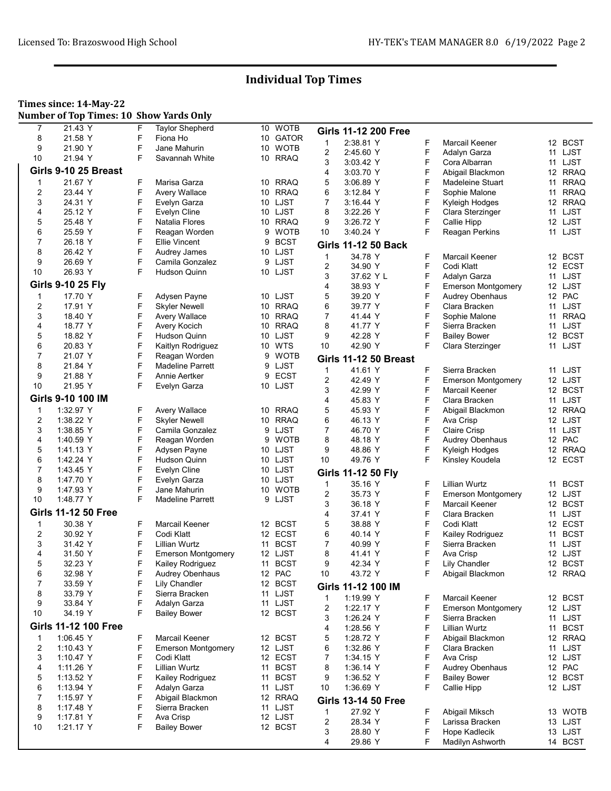### Times since: 14-May-22

Number of Top Times: 10 Show Yards Only

| 8<br>10 GATOR<br>21.58 Y<br>Fiona Ho<br>$\mathbf{1}$<br>2:38.81 Y<br>F<br>Marcail Keener<br>12 BCST<br>F<br>9<br>10 WOTB<br>21.90 Y<br>Jane Mahurin<br>2<br>F<br>2:45.60 Y<br>11 LJST<br>Adalyn Garza<br>F<br>10<br>10 RRAQ<br>21.94 Y<br>Savannah White<br>3<br>F<br>11 LJST<br>3:03.42 Y<br>Cora Albarran<br>Girls 9-10 25 Breast<br>4<br>F<br>12 RRAQ<br>3:03.70 Y<br>Abigail Blackmon<br>F<br>21.67 Y<br>F<br>10 RRAQ<br>5<br><b>RRAQ</b><br>$\mathbf 1$<br>Marisa Garza<br>3:06.89 Y<br><b>Madeleine Stuart</b><br>11<br>F<br>F<br>$\overline{c}$<br>Avery Wallace<br>10 RRAQ<br>6<br><b>RRAQ</b><br>23.44 Y<br>3:12.84 Y<br>Sophie Malone<br>11<br>F<br>3<br>10 LJST<br>7<br>F<br>12 RRAQ<br>24.31 Y<br>Evelyn Garza<br>3:16.44 Y<br>Kyleigh Hodges<br>F<br>F<br>4<br>10 LJST<br>8<br>LJST<br>25.12 Y<br>Evelyn Cline<br>3:22.26 Y<br>Clara Sterzinger<br>11<br>F<br>9<br>F<br>5<br>25.48 Y<br>10 RRAQ<br>12 LJST<br>Natalia Flores<br>3:26.72 Y<br>Callie Hipp<br>F<br>F<br>6<br>9 WOTB<br>10<br>25.59 Y<br>Reagan Worden<br>3:40.24 Y<br>Reagan Perkins<br>11 LJST<br>F<br>7<br><b>BCST</b><br>26.18 Y<br>Ellie Vincent<br>9<br><b>Girls 11-12 50 Back</b><br>F<br>8<br>10 LJST<br>26.42 Y<br>Audrey James<br>34.78 Y<br>F<br>Marcail Keener<br>1<br>12 BCST<br>F<br>9<br>26.69 Y<br>9 LJST<br>Camila Gonzalez<br>F<br>2<br>34.90 Y<br>Codi Klatt<br>12 ECST<br>F<br>10<br>26.93 Y<br>10 LJST<br>Hudson Quinn<br>F<br>3<br>37.62 Y L<br>11 LJST<br>Adalyn Garza<br><b>Girls 9-10 25 Fly</b><br>4<br>F<br>38.93 Y<br><b>Emerson Montgomery</b><br>12 LJST<br>5<br>F<br>17.70 Y<br>F<br>10 LJST<br>12 PAC<br>$\mathbf 1$<br>Adysen Payne<br>39.20 Y<br><b>Audrey Obenhaus</b><br>F<br>F<br>6<br>2<br>17.91 Y<br><b>Skyler Newell</b><br>10 RRAQ<br>LJST<br>39.77 Y<br>Clara Bracken<br>11<br>F<br>F<br>3<br>$\overline{7}$<br>11 RRAQ<br>18.40 Y<br>Avery Wallace<br>10 RRAQ<br>41.44 Y<br>Sophie Malone<br>F<br>F<br>4<br><b>RRAQ</b><br>8<br>11 LJST<br>18.77 Y<br>Avery Kocich<br>41.77 Y<br>Sierra Bracken<br>10<br>F<br>F<br>5<br>10 LJST<br>9<br>12 BCST<br>18.82 Y<br>Hudson Quinn<br>42.28 Y<br><b>Bailey Bower</b><br>6<br>F<br>F<br>11 LJST<br>20.83 Y<br>Kaitlyn Rodriguez<br>10 WTS<br>10<br>42.90 Y<br>Clara Sterzinger<br>F<br>7<br>21.07 Y<br>Reagan Worden<br>WOTB<br>9<br><b>Girls 11-12 50 Breast</b><br>F<br>8<br>9 LJST<br>21.84 Y<br><b>Madeline Parrett</b><br>41.61 Y<br>F<br>1<br>Sierra Bracken<br>11 LJST<br>F<br>9<br>9 ECST<br>21.88 Y<br>Annie Aertker<br>2<br>42.49 Y<br>F<br>12 LJST<br><b>Emerson Montgomery</b><br>F<br>10<br>10 LJST<br>21.95 Y<br>Evelyn Garza<br>F<br>3<br>42.99 Y<br>12 BCST<br>Marcail Keener<br>Girls 9-10 100 IM<br>4<br>F<br>11 LJST<br>45.83 Y<br>Clara Bracken<br>5<br>F<br>$\mathbf{1}$<br>1:32.97 Y<br>F<br><b>Avery Wallace</b><br>10 RRAQ<br>12 RRAQ<br>45.93 Y<br>Abigail Blackmon<br>F<br>F<br>$\overline{c}$<br>10 RRAQ<br>6<br>12 LJST<br>1:38.22 Y<br><b>Skyler Newell</b><br>46.13 Y<br>Ava Crisp<br>F<br>F<br>3<br>9 LJST<br>7<br>Camila Gonzalez<br>46.70 Y<br>Claire Crisp<br>11 LJST<br>1:38.85 Y<br>F<br>4<br><b>WOTB</b><br>8<br>F<br>Audrey Obenhaus<br>12 PAC<br>1:40.59 Y<br>Reagan Worden<br>48.18 Y<br>9<br>F<br>F<br>5<br>9<br>12 RRAQ<br>1.41.13 Y<br>Adysen Payne<br>10 LJST<br>48.86 Y<br>Kyleigh Hodges<br>F<br>F<br>6<br>10<br>12 ECST<br>Hudson Quinn<br>10 LJST<br>49.76 Y<br>Kinsley Koudela<br>1:42.24 Y<br>F<br>7<br>1:43.45 Y<br>Evelyn Cline<br>10 LJST<br>Girls 11-12 50 Fly<br>F<br>8<br>10 LJST<br>1.47.70 Y<br>Evelyn Garza<br>F<br><b>Lillian Wurtz</b><br>1<br>35.16 Y<br><b>BCST</b><br>11<br>F<br>9<br>1.47.93 Y<br>Jane Mahurin<br>10 WOTB<br>F<br>2<br>12 LJST<br>35.73 Y<br><b>Emerson Montgomery</b><br>F<br>10<br>1:48.77 Y<br><b>Madeline Parrett</b><br>9 LJST<br>F<br>3<br>12 BCST<br>36.18 Y<br>Marcail Keener<br><b>Girls 11-12 50 Free</b><br>F<br>4<br>11 LJST<br>37.41 Y<br>Clara Bracken<br>F<br>30.38 Y<br>F<br>Marcail Keener<br>12 BCST<br>5<br>12 ECST<br>$\mathbf 1$<br>38.88 Y<br>Codi Klatt<br>F<br>F<br>$\overline{c}$<br>30.92 Y<br>12 ECST<br>6<br><b>BCST</b><br>Codi Klatt<br>40.14 Y<br>Kailey Rodriguez<br>11<br>F<br><b>BCST</b><br>7<br>F<br>3<br>31.42 Y<br>Lillian Wurtz<br>Sierra Bracken<br>11 LJST<br>40.99 Y<br>11<br>F<br>4<br>8<br>F<br>12 LJST<br>31.50 Y<br><b>Emerson Montgomery</b><br>12 LJST<br>41.41 Y<br>Ava Crisp<br>F<br>F<br>5<br>11 BCST<br>9<br>12 BCST<br>32.23 Y<br>Kailey Rodriguez<br>42.34 Y<br><b>Lily Chandler</b><br>6<br>32.98 Y<br>F<br><b>Audrey Obenhaus</b><br>12 PAC<br>10<br>43.72 Y<br>F<br>Abigail Blackmon<br>12 RRAQ<br>F<br>7<br>33.59 Y<br>Lily Chandler<br>12 BCST<br>Girls 11-12 100 IM<br>F<br>33.79 Y<br>Sierra Bracken<br>8<br>11 LJST<br>Marcail Keener<br>1<br>1:19.99 Y<br>F<br>12 BCST<br>9<br>F<br>33.84 Y<br>Adalyn Garza<br>11 LJST<br>2<br>F<br>12 LJST<br>1:22.17 Y<br><b>Emerson Montgomery</b><br>10<br>34.19 Y<br>F<br><b>Bailey Bower</b><br>12 BCST<br>3<br>F<br>11 LJST<br>1:26.24 Y<br>Sierra Bracken<br><b>Girls 11-12 100 Free</b><br>4<br>F<br>Lillian Wurtz<br>11 BCST<br>1:28.56 Y<br>$\mathbf{1}$<br>1:06.45 Y<br>F<br>Marcail Keener<br>12 BCST<br>5<br>F<br>1:28.72 Y<br>Abigail Blackmon<br>12 RRAQ<br>F<br>$\overline{2}$<br>F<br>6<br>11 LJST<br>1:10.43 Y<br><b>Emerson Montgomery</b><br>12 LJST<br>1:32.86 Y<br>Clara Bracken<br>F<br>3<br>7<br>F<br>Codi Klatt<br>12 ECST<br>Ava Crisp<br>12 LJST<br>1:10.47 Y<br>1:34.15 Y<br>F<br>F<br>4<br>1:11.26 Y<br>Lillian Wurtz<br>11 BCST<br>8<br>1:36.14 Y<br>Audrey Obenhaus<br>12 PAC<br>F<br>F<br>5<br>11 BCST<br>9<br>12 BCST<br>1:13.52 Y<br>Kailey Rodriguez<br>1:36.52 Y<br><b>Bailey Bower</b><br>6<br>F<br>F<br>Adalyn Garza<br>11 LJST<br>10<br>1:36.69 Y<br>Callie Hipp<br>12 LJST<br>1:13.94 Y<br>F<br>7<br>1:15.97 Y<br>Abigail Blackmon<br>12 RRAQ<br><b>Girls 13-14 50 Free</b><br>F<br>8<br>Sierra Bracken<br>11 LJST<br>1:17.48 Y<br>1<br>27.92 Y<br>F<br>Abigail Miksch<br>13 WOTB<br>F<br>9<br>Ava Crisp<br>12 LJST<br>1:17.81 Y<br>2<br>F<br>13 LJST<br>28.34 Y<br>Larissa Bracken<br>F<br>10<br>1:21.17 Y<br><b>Bailey Bower</b><br>12 BCST<br>3<br>F<br>13 LJST<br>28.80 Y<br>Hope Kadlecik<br>4<br>F<br>14 BCST<br>29.86 Y<br>Madilyn Ashworth | 7 | 21.43 Y | F | <b>Taylor Shepherd</b> | 10 WOTB | <b>Girls 11-12 200 Free</b> |  |  |
|-----------------------------------------------------------------------------------------------------------------------------------------------------------------------------------------------------------------------------------------------------------------------------------------------------------------------------------------------------------------------------------------------------------------------------------------------------------------------------------------------------------------------------------------------------------------------------------------------------------------------------------------------------------------------------------------------------------------------------------------------------------------------------------------------------------------------------------------------------------------------------------------------------------------------------------------------------------------------------------------------------------------------------------------------------------------------------------------------------------------------------------------------------------------------------------------------------------------------------------------------------------------------------------------------------------------------------------------------------------------------------------------------------------------------------------------------------------------------------------------------------------------------------------------------------------------------------------------------------------------------------------------------------------------------------------------------------------------------------------------------------------------------------------------------------------------------------------------------------------------------------------------------------------------------------------------------------------------------------------------------------------------------------------------------------------------------------------------------------------------------------------------------------------------------------------------------------------------------------------------------------------------------------------------------------------------------------------------------------------------------------------------------------------------------------------------------------------------------------------------------------------------------------------------------------------------------------------------------------------------------------------------------------------------------------------------------------------------------------------------------------------------------------------------------------------------------------------------------------------------------------------------------------------------------------------------------------------------------------------------------------------------------------------------------------------------------------------------------------------------------------------------------------------------------------------------------------------------------------------------------------------------------------------------------------------------------------------------------------------------------------------------------------------------------------------------------------------------------------------------------------------------------------------------------------------------------------------------------------------------------------------------------------------------------------------------------------------------------------------------------------------------------------------------------------------------------------------------------------------------------------------------------------------------------------------------------------------------------------------------------------------------------------------------------------------------------------------------------------------------------------------------------------------------------------------------------------------------------------------------------------------------------------------------------------------------------------------------------------------------------------------------------------------------------------------------------------------------------------------------------------------------------------------------------------------------------------------------------------------------------------------------------------------------------------------------------------------------------------------------------------------------------------------------------------------------------------------------------------------------------------------------------------------------------------------------------------------------------------------------------------------------------------------------------------------------------------------------------------------------------------------------------------------------------------------------------------------------------------------------------------------------------------------------------------------------------------------------------------------------------------------------------------------------------------------------------------------------------------------------------------------------------------------------------------------------------------------------------------------------------------------------------------------------------------------------------------------------------------------------------------------------------------------------------------------------------------------------------------------------------------------------------------------------------------------------------------------------------------------------------------------------------------------------------------------------------------------------------------------------------------------------------------------------------------------------------------------------------------------------|---|---------|---|------------------------|---------|-----------------------------|--|--|
|                                                                                                                                                                                                                                                                                                                                                                                                                                                                                                                                                                                                                                                                                                                                                                                                                                                                                                                                                                                                                                                                                                                                                                                                                                                                                                                                                                                                                                                                                                                                                                                                                                                                                                                                                                                                                                                                                                                                                                                                                                                                                                                                                                                                                                                                                                                                                                                                                                                                                                                                                                                                                                                                                                                                                                                                                                                                                                                                                                                                                                                                                                                                                                                                                                                                                                                                                                                                                                                                                                                                                                                                                                                                                                                                                                                                                                                                                                                                                                                                                                                                                                                                                                                                                                                                                                                                                                                                                                                                                                                                                                                                                                                                                                                                                                                                                                                                                                                                                                                                                                                                                                                                                                                                                                                                                                                                                                                                                                                                                                                                                                                                                                                                                                                                                                                                                                                                                                                                                                                                                                                                                                                                                                                                                                         |   |         | F |                        |         |                             |  |  |
|                                                                                                                                                                                                                                                                                                                                                                                                                                                                                                                                                                                                                                                                                                                                                                                                                                                                                                                                                                                                                                                                                                                                                                                                                                                                                                                                                                                                                                                                                                                                                                                                                                                                                                                                                                                                                                                                                                                                                                                                                                                                                                                                                                                                                                                                                                                                                                                                                                                                                                                                                                                                                                                                                                                                                                                                                                                                                                                                                                                                                                                                                                                                                                                                                                                                                                                                                                                                                                                                                                                                                                                                                                                                                                                                                                                                                                                                                                                                                                                                                                                                                                                                                                                                                                                                                                                                                                                                                                                                                                                                                                                                                                                                                                                                                                                                                                                                                                                                                                                                                                                                                                                                                                                                                                                                                                                                                                                                                                                                                                                                                                                                                                                                                                                                                                                                                                                                                                                                                                                                                                                                                                                                                                                                                                         |   |         |   |                        |         |                             |  |  |
|                                                                                                                                                                                                                                                                                                                                                                                                                                                                                                                                                                                                                                                                                                                                                                                                                                                                                                                                                                                                                                                                                                                                                                                                                                                                                                                                                                                                                                                                                                                                                                                                                                                                                                                                                                                                                                                                                                                                                                                                                                                                                                                                                                                                                                                                                                                                                                                                                                                                                                                                                                                                                                                                                                                                                                                                                                                                                                                                                                                                                                                                                                                                                                                                                                                                                                                                                                                                                                                                                                                                                                                                                                                                                                                                                                                                                                                                                                                                                                                                                                                                                                                                                                                                                                                                                                                                                                                                                                                                                                                                                                                                                                                                                                                                                                                                                                                                                                                                                                                                                                                                                                                                                                                                                                                                                                                                                                                                                                                                                                                                                                                                                                                                                                                                                                                                                                                                                                                                                                                                                                                                                                                                                                                                                                         |   |         |   |                        |         |                             |  |  |
|                                                                                                                                                                                                                                                                                                                                                                                                                                                                                                                                                                                                                                                                                                                                                                                                                                                                                                                                                                                                                                                                                                                                                                                                                                                                                                                                                                                                                                                                                                                                                                                                                                                                                                                                                                                                                                                                                                                                                                                                                                                                                                                                                                                                                                                                                                                                                                                                                                                                                                                                                                                                                                                                                                                                                                                                                                                                                                                                                                                                                                                                                                                                                                                                                                                                                                                                                                                                                                                                                                                                                                                                                                                                                                                                                                                                                                                                                                                                                                                                                                                                                                                                                                                                                                                                                                                                                                                                                                                                                                                                                                                                                                                                                                                                                                                                                                                                                                                                                                                                                                                                                                                                                                                                                                                                                                                                                                                                                                                                                                                                                                                                                                                                                                                                                                                                                                                                                                                                                                                                                                                                                                                                                                                                                                         |   |         |   |                        |         |                             |  |  |
|                                                                                                                                                                                                                                                                                                                                                                                                                                                                                                                                                                                                                                                                                                                                                                                                                                                                                                                                                                                                                                                                                                                                                                                                                                                                                                                                                                                                                                                                                                                                                                                                                                                                                                                                                                                                                                                                                                                                                                                                                                                                                                                                                                                                                                                                                                                                                                                                                                                                                                                                                                                                                                                                                                                                                                                                                                                                                                                                                                                                                                                                                                                                                                                                                                                                                                                                                                                                                                                                                                                                                                                                                                                                                                                                                                                                                                                                                                                                                                                                                                                                                                                                                                                                                                                                                                                                                                                                                                                                                                                                                                                                                                                                                                                                                                                                                                                                                                                                                                                                                                                                                                                                                                                                                                                                                                                                                                                                                                                                                                                                                                                                                                                                                                                                                                                                                                                                                                                                                                                                                                                                                                                                                                                                                                         |   |         |   |                        |         |                             |  |  |
|                                                                                                                                                                                                                                                                                                                                                                                                                                                                                                                                                                                                                                                                                                                                                                                                                                                                                                                                                                                                                                                                                                                                                                                                                                                                                                                                                                                                                                                                                                                                                                                                                                                                                                                                                                                                                                                                                                                                                                                                                                                                                                                                                                                                                                                                                                                                                                                                                                                                                                                                                                                                                                                                                                                                                                                                                                                                                                                                                                                                                                                                                                                                                                                                                                                                                                                                                                                                                                                                                                                                                                                                                                                                                                                                                                                                                                                                                                                                                                                                                                                                                                                                                                                                                                                                                                                                                                                                                                                                                                                                                                                                                                                                                                                                                                                                                                                                                                                                                                                                                                                                                                                                                                                                                                                                                                                                                                                                                                                                                                                                                                                                                                                                                                                                                                                                                                                                                                                                                                                                                                                                                                                                                                                                                                         |   |         |   |                        |         |                             |  |  |
|                                                                                                                                                                                                                                                                                                                                                                                                                                                                                                                                                                                                                                                                                                                                                                                                                                                                                                                                                                                                                                                                                                                                                                                                                                                                                                                                                                                                                                                                                                                                                                                                                                                                                                                                                                                                                                                                                                                                                                                                                                                                                                                                                                                                                                                                                                                                                                                                                                                                                                                                                                                                                                                                                                                                                                                                                                                                                                                                                                                                                                                                                                                                                                                                                                                                                                                                                                                                                                                                                                                                                                                                                                                                                                                                                                                                                                                                                                                                                                                                                                                                                                                                                                                                                                                                                                                                                                                                                                                                                                                                                                                                                                                                                                                                                                                                                                                                                                                                                                                                                                                                                                                                                                                                                                                                                                                                                                                                                                                                                                                                                                                                                                                                                                                                                                                                                                                                                                                                                                                                                                                                                                                                                                                                                                         |   |         |   |                        |         |                             |  |  |
|                                                                                                                                                                                                                                                                                                                                                                                                                                                                                                                                                                                                                                                                                                                                                                                                                                                                                                                                                                                                                                                                                                                                                                                                                                                                                                                                                                                                                                                                                                                                                                                                                                                                                                                                                                                                                                                                                                                                                                                                                                                                                                                                                                                                                                                                                                                                                                                                                                                                                                                                                                                                                                                                                                                                                                                                                                                                                                                                                                                                                                                                                                                                                                                                                                                                                                                                                                                                                                                                                                                                                                                                                                                                                                                                                                                                                                                                                                                                                                                                                                                                                                                                                                                                                                                                                                                                                                                                                                                                                                                                                                                                                                                                                                                                                                                                                                                                                                                                                                                                                                                                                                                                                                                                                                                                                                                                                                                                                                                                                                                                                                                                                                                                                                                                                                                                                                                                                                                                                                                                                                                                                                                                                                                                                                         |   |         |   |                        |         |                             |  |  |
|                                                                                                                                                                                                                                                                                                                                                                                                                                                                                                                                                                                                                                                                                                                                                                                                                                                                                                                                                                                                                                                                                                                                                                                                                                                                                                                                                                                                                                                                                                                                                                                                                                                                                                                                                                                                                                                                                                                                                                                                                                                                                                                                                                                                                                                                                                                                                                                                                                                                                                                                                                                                                                                                                                                                                                                                                                                                                                                                                                                                                                                                                                                                                                                                                                                                                                                                                                                                                                                                                                                                                                                                                                                                                                                                                                                                                                                                                                                                                                                                                                                                                                                                                                                                                                                                                                                                                                                                                                                                                                                                                                                                                                                                                                                                                                                                                                                                                                                                                                                                                                                                                                                                                                                                                                                                                                                                                                                                                                                                                                                                                                                                                                                                                                                                                                                                                                                                                                                                                                                                                                                                                                                                                                                                                                         |   |         |   |                        |         |                             |  |  |
|                                                                                                                                                                                                                                                                                                                                                                                                                                                                                                                                                                                                                                                                                                                                                                                                                                                                                                                                                                                                                                                                                                                                                                                                                                                                                                                                                                                                                                                                                                                                                                                                                                                                                                                                                                                                                                                                                                                                                                                                                                                                                                                                                                                                                                                                                                                                                                                                                                                                                                                                                                                                                                                                                                                                                                                                                                                                                                                                                                                                                                                                                                                                                                                                                                                                                                                                                                                                                                                                                                                                                                                                                                                                                                                                                                                                                                                                                                                                                                                                                                                                                                                                                                                                                                                                                                                                                                                                                                                                                                                                                                                                                                                                                                                                                                                                                                                                                                                                                                                                                                                                                                                                                                                                                                                                                                                                                                                                                                                                                                                                                                                                                                                                                                                                                                                                                                                                                                                                                                                                                                                                                                                                                                                                                                         |   |         |   |                        |         |                             |  |  |
|                                                                                                                                                                                                                                                                                                                                                                                                                                                                                                                                                                                                                                                                                                                                                                                                                                                                                                                                                                                                                                                                                                                                                                                                                                                                                                                                                                                                                                                                                                                                                                                                                                                                                                                                                                                                                                                                                                                                                                                                                                                                                                                                                                                                                                                                                                                                                                                                                                                                                                                                                                                                                                                                                                                                                                                                                                                                                                                                                                                                                                                                                                                                                                                                                                                                                                                                                                                                                                                                                                                                                                                                                                                                                                                                                                                                                                                                                                                                                                                                                                                                                                                                                                                                                                                                                                                                                                                                                                                                                                                                                                                                                                                                                                                                                                                                                                                                                                                                                                                                                                                                                                                                                                                                                                                                                                                                                                                                                                                                                                                                                                                                                                                                                                                                                                                                                                                                                                                                                                                                                                                                                                                                                                                                                                         |   |         |   |                        |         |                             |  |  |
|                                                                                                                                                                                                                                                                                                                                                                                                                                                                                                                                                                                                                                                                                                                                                                                                                                                                                                                                                                                                                                                                                                                                                                                                                                                                                                                                                                                                                                                                                                                                                                                                                                                                                                                                                                                                                                                                                                                                                                                                                                                                                                                                                                                                                                                                                                                                                                                                                                                                                                                                                                                                                                                                                                                                                                                                                                                                                                                                                                                                                                                                                                                                                                                                                                                                                                                                                                                                                                                                                                                                                                                                                                                                                                                                                                                                                                                                                                                                                                                                                                                                                                                                                                                                                                                                                                                                                                                                                                                                                                                                                                                                                                                                                                                                                                                                                                                                                                                                                                                                                                                                                                                                                                                                                                                                                                                                                                                                                                                                                                                                                                                                                                                                                                                                                                                                                                                                                                                                                                                                                                                                                                                                                                                                                                         |   |         |   |                        |         |                             |  |  |
|                                                                                                                                                                                                                                                                                                                                                                                                                                                                                                                                                                                                                                                                                                                                                                                                                                                                                                                                                                                                                                                                                                                                                                                                                                                                                                                                                                                                                                                                                                                                                                                                                                                                                                                                                                                                                                                                                                                                                                                                                                                                                                                                                                                                                                                                                                                                                                                                                                                                                                                                                                                                                                                                                                                                                                                                                                                                                                                                                                                                                                                                                                                                                                                                                                                                                                                                                                                                                                                                                                                                                                                                                                                                                                                                                                                                                                                                                                                                                                                                                                                                                                                                                                                                                                                                                                                                                                                                                                                                                                                                                                                                                                                                                                                                                                                                                                                                                                                                                                                                                                                                                                                                                                                                                                                                                                                                                                                                                                                                                                                                                                                                                                                                                                                                                                                                                                                                                                                                                                                                                                                                                                                                                                                                                                         |   |         |   |                        |         |                             |  |  |
|                                                                                                                                                                                                                                                                                                                                                                                                                                                                                                                                                                                                                                                                                                                                                                                                                                                                                                                                                                                                                                                                                                                                                                                                                                                                                                                                                                                                                                                                                                                                                                                                                                                                                                                                                                                                                                                                                                                                                                                                                                                                                                                                                                                                                                                                                                                                                                                                                                                                                                                                                                                                                                                                                                                                                                                                                                                                                                                                                                                                                                                                                                                                                                                                                                                                                                                                                                                                                                                                                                                                                                                                                                                                                                                                                                                                                                                                                                                                                                                                                                                                                                                                                                                                                                                                                                                                                                                                                                                                                                                                                                                                                                                                                                                                                                                                                                                                                                                                                                                                                                                                                                                                                                                                                                                                                                                                                                                                                                                                                                                                                                                                                                                                                                                                                                                                                                                                                                                                                                                                                                                                                                                                                                                                                                         |   |         |   |                        |         |                             |  |  |
|                                                                                                                                                                                                                                                                                                                                                                                                                                                                                                                                                                                                                                                                                                                                                                                                                                                                                                                                                                                                                                                                                                                                                                                                                                                                                                                                                                                                                                                                                                                                                                                                                                                                                                                                                                                                                                                                                                                                                                                                                                                                                                                                                                                                                                                                                                                                                                                                                                                                                                                                                                                                                                                                                                                                                                                                                                                                                                                                                                                                                                                                                                                                                                                                                                                                                                                                                                                                                                                                                                                                                                                                                                                                                                                                                                                                                                                                                                                                                                                                                                                                                                                                                                                                                                                                                                                                                                                                                                                                                                                                                                                                                                                                                                                                                                                                                                                                                                                                                                                                                                                                                                                                                                                                                                                                                                                                                                                                                                                                                                                                                                                                                                                                                                                                                                                                                                                                                                                                                                                                                                                                                                                                                                                                                                         |   |         |   |                        |         |                             |  |  |
|                                                                                                                                                                                                                                                                                                                                                                                                                                                                                                                                                                                                                                                                                                                                                                                                                                                                                                                                                                                                                                                                                                                                                                                                                                                                                                                                                                                                                                                                                                                                                                                                                                                                                                                                                                                                                                                                                                                                                                                                                                                                                                                                                                                                                                                                                                                                                                                                                                                                                                                                                                                                                                                                                                                                                                                                                                                                                                                                                                                                                                                                                                                                                                                                                                                                                                                                                                                                                                                                                                                                                                                                                                                                                                                                                                                                                                                                                                                                                                                                                                                                                                                                                                                                                                                                                                                                                                                                                                                                                                                                                                                                                                                                                                                                                                                                                                                                                                                                                                                                                                                                                                                                                                                                                                                                                                                                                                                                                                                                                                                                                                                                                                                                                                                                                                                                                                                                                                                                                                                                                                                                                                                                                                                                                                         |   |         |   |                        |         |                             |  |  |
|                                                                                                                                                                                                                                                                                                                                                                                                                                                                                                                                                                                                                                                                                                                                                                                                                                                                                                                                                                                                                                                                                                                                                                                                                                                                                                                                                                                                                                                                                                                                                                                                                                                                                                                                                                                                                                                                                                                                                                                                                                                                                                                                                                                                                                                                                                                                                                                                                                                                                                                                                                                                                                                                                                                                                                                                                                                                                                                                                                                                                                                                                                                                                                                                                                                                                                                                                                                                                                                                                                                                                                                                                                                                                                                                                                                                                                                                                                                                                                                                                                                                                                                                                                                                                                                                                                                                                                                                                                                                                                                                                                                                                                                                                                                                                                                                                                                                                                                                                                                                                                                                                                                                                                                                                                                                                                                                                                                                                                                                                                                                                                                                                                                                                                                                                                                                                                                                                                                                                                                                                                                                                                                                                                                                                                         |   |         |   |                        |         |                             |  |  |
|                                                                                                                                                                                                                                                                                                                                                                                                                                                                                                                                                                                                                                                                                                                                                                                                                                                                                                                                                                                                                                                                                                                                                                                                                                                                                                                                                                                                                                                                                                                                                                                                                                                                                                                                                                                                                                                                                                                                                                                                                                                                                                                                                                                                                                                                                                                                                                                                                                                                                                                                                                                                                                                                                                                                                                                                                                                                                                                                                                                                                                                                                                                                                                                                                                                                                                                                                                                                                                                                                                                                                                                                                                                                                                                                                                                                                                                                                                                                                                                                                                                                                                                                                                                                                                                                                                                                                                                                                                                                                                                                                                                                                                                                                                                                                                                                                                                                                                                                                                                                                                                                                                                                                                                                                                                                                                                                                                                                                                                                                                                                                                                                                                                                                                                                                                                                                                                                                                                                                                                                                                                                                                                                                                                                                                         |   |         |   |                        |         |                             |  |  |
|                                                                                                                                                                                                                                                                                                                                                                                                                                                                                                                                                                                                                                                                                                                                                                                                                                                                                                                                                                                                                                                                                                                                                                                                                                                                                                                                                                                                                                                                                                                                                                                                                                                                                                                                                                                                                                                                                                                                                                                                                                                                                                                                                                                                                                                                                                                                                                                                                                                                                                                                                                                                                                                                                                                                                                                                                                                                                                                                                                                                                                                                                                                                                                                                                                                                                                                                                                                                                                                                                                                                                                                                                                                                                                                                                                                                                                                                                                                                                                                                                                                                                                                                                                                                                                                                                                                                                                                                                                                                                                                                                                                                                                                                                                                                                                                                                                                                                                                                                                                                                                                                                                                                                                                                                                                                                                                                                                                                                                                                                                                                                                                                                                                                                                                                                                                                                                                                                                                                                                                                                                                                                                                                                                                                                                         |   |         |   |                        |         |                             |  |  |
|                                                                                                                                                                                                                                                                                                                                                                                                                                                                                                                                                                                                                                                                                                                                                                                                                                                                                                                                                                                                                                                                                                                                                                                                                                                                                                                                                                                                                                                                                                                                                                                                                                                                                                                                                                                                                                                                                                                                                                                                                                                                                                                                                                                                                                                                                                                                                                                                                                                                                                                                                                                                                                                                                                                                                                                                                                                                                                                                                                                                                                                                                                                                                                                                                                                                                                                                                                                                                                                                                                                                                                                                                                                                                                                                                                                                                                                                                                                                                                                                                                                                                                                                                                                                                                                                                                                                                                                                                                                                                                                                                                                                                                                                                                                                                                                                                                                                                                                                                                                                                                                                                                                                                                                                                                                                                                                                                                                                                                                                                                                                                                                                                                                                                                                                                                                                                                                                                                                                                                                                                                                                                                                                                                                                                                         |   |         |   |                        |         |                             |  |  |
|                                                                                                                                                                                                                                                                                                                                                                                                                                                                                                                                                                                                                                                                                                                                                                                                                                                                                                                                                                                                                                                                                                                                                                                                                                                                                                                                                                                                                                                                                                                                                                                                                                                                                                                                                                                                                                                                                                                                                                                                                                                                                                                                                                                                                                                                                                                                                                                                                                                                                                                                                                                                                                                                                                                                                                                                                                                                                                                                                                                                                                                                                                                                                                                                                                                                                                                                                                                                                                                                                                                                                                                                                                                                                                                                                                                                                                                                                                                                                                                                                                                                                                                                                                                                                                                                                                                                                                                                                                                                                                                                                                                                                                                                                                                                                                                                                                                                                                                                                                                                                                                                                                                                                                                                                                                                                                                                                                                                                                                                                                                                                                                                                                                                                                                                                                                                                                                                                                                                                                                                                                                                                                                                                                                                                                         |   |         |   |                        |         |                             |  |  |
|                                                                                                                                                                                                                                                                                                                                                                                                                                                                                                                                                                                                                                                                                                                                                                                                                                                                                                                                                                                                                                                                                                                                                                                                                                                                                                                                                                                                                                                                                                                                                                                                                                                                                                                                                                                                                                                                                                                                                                                                                                                                                                                                                                                                                                                                                                                                                                                                                                                                                                                                                                                                                                                                                                                                                                                                                                                                                                                                                                                                                                                                                                                                                                                                                                                                                                                                                                                                                                                                                                                                                                                                                                                                                                                                                                                                                                                                                                                                                                                                                                                                                                                                                                                                                                                                                                                                                                                                                                                                                                                                                                                                                                                                                                                                                                                                                                                                                                                                                                                                                                                                                                                                                                                                                                                                                                                                                                                                                                                                                                                                                                                                                                                                                                                                                                                                                                                                                                                                                                                                                                                                                                                                                                                                                                         |   |         |   |                        |         |                             |  |  |
|                                                                                                                                                                                                                                                                                                                                                                                                                                                                                                                                                                                                                                                                                                                                                                                                                                                                                                                                                                                                                                                                                                                                                                                                                                                                                                                                                                                                                                                                                                                                                                                                                                                                                                                                                                                                                                                                                                                                                                                                                                                                                                                                                                                                                                                                                                                                                                                                                                                                                                                                                                                                                                                                                                                                                                                                                                                                                                                                                                                                                                                                                                                                                                                                                                                                                                                                                                                                                                                                                                                                                                                                                                                                                                                                                                                                                                                                                                                                                                                                                                                                                                                                                                                                                                                                                                                                                                                                                                                                                                                                                                                                                                                                                                                                                                                                                                                                                                                                                                                                                                                                                                                                                                                                                                                                                                                                                                                                                                                                                                                                                                                                                                                                                                                                                                                                                                                                                                                                                                                                                                                                                                                                                                                                                                         |   |         |   |                        |         |                             |  |  |
|                                                                                                                                                                                                                                                                                                                                                                                                                                                                                                                                                                                                                                                                                                                                                                                                                                                                                                                                                                                                                                                                                                                                                                                                                                                                                                                                                                                                                                                                                                                                                                                                                                                                                                                                                                                                                                                                                                                                                                                                                                                                                                                                                                                                                                                                                                                                                                                                                                                                                                                                                                                                                                                                                                                                                                                                                                                                                                                                                                                                                                                                                                                                                                                                                                                                                                                                                                                                                                                                                                                                                                                                                                                                                                                                                                                                                                                                                                                                                                                                                                                                                                                                                                                                                                                                                                                                                                                                                                                                                                                                                                                                                                                                                                                                                                                                                                                                                                                                                                                                                                                                                                                                                                                                                                                                                                                                                                                                                                                                                                                                                                                                                                                                                                                                                                                                                                                                                                                                                                                                                                                                                                                                                                                                                                         |   |         |   |                        |         |                             |  |  |
|                                                                                                                                                                                                                                                                                                                                                                                                                                                                                                                                                                                                                                                                                                                                                                                                                                                                                                                                                                                                                                                                                                                                                                                                                                                                                                                                                                                                                                                                                                                                                                                                                                                                                                                                                                                                                                                                                                                                                                                                                                                                                                                                                                                                                                                                                                                                                                                                                                                                                                                                                                                                                                                                                                                                                                                                                                                                                                                                                                                                                                                                                                                                                                                                                                                                                                                                                                                                                                                                                                                                                                                                                                                                                                                                                                                                                                                                                                                                                                                                                                                                                                                                                                                                                                                                                                                                                                                                                                                                                                                                                                                                                                                                                                                                                                                                                                                                                                                                                                                                                                                                                                                                                                                                                                                                                                                                                                                                                                                                                                                                                                                                                                                                                                                                                                                                                                                                                                                                                                                                                                                                                                                                                                                                                                         |   |         |   |                        |         |                             |  |  |
|                                                                                                                                                                                                                                                                                                                                                                                                                                                                                                                                                                                                                                                                                                                                                                                                                                                                                                                                                                                                                                                                                                                                                                                                                                                                                                                                                                                                                                                                                                                                                                                                                                                                                                                                                                                                                                                                                                                                                                                                                                                                                                                                                                                                                                                                                                                                                                                                                                                                                                                                                                                                                                                                                                                                                                                                                                                                                                                                                                                                                                                                                                                                                                                                                                                                                                                                                                                                                                                                                                                                                                                                                                                                                                                                                                                                                                                                                                                                                                                                                                                                                                                                                                                                                                                                                                                                                                                                                                                                                                                                                                                                                                                                                                                                                                                                                                                                                                                                                                                                                                                                                                                                                                                                                                                                                                                                                                                                                                                                                                                                                                                                                                                                                                                                                                                                                                                                                                                                                                                                                                                                                                                                                                                                                                         |   |         |   |                        |         |                             |  |  |
|                                                                                                                                                                                                                                                                                                                                                                                                                                                                                                                                                                                                                                                                                                                                                                                                                                                                                                                                                                                                                                                                                                                                                                                                                                                                                                                                                                                                                                                                                                                                                                                                                                                                                                                                                                                                                                                                                                                                                                                                                                                                                                                                                                                                                                                                                                                                                                                                                                                                                                                                                                                                                                                                                                                                                                                                                                                                                                                                                                                                                                                                                                                                                                                                                                                                                                                                                                                                                                                                                                                                                                                                                                                                                                                                                                                                                                                                                                                                                                                                                                                                                                                                                                                                                                                                                                                                                                                                                                                                                                                                                                                                                                                                                                                                                                                                                                                                                                                                                                                                                                                                                                                                                                                                                                                                                                                                                                                                                                                                                                                                                                                                                                                                                                                                                                                                                                                                                                                                                                                                                                                                                                                                                                                                                                         |   |         |   |                        |         |                             |  |  |
|                                                                                                                                                                                                                                                                                                                                                                                                                                                                                                                                                                                                                                                                                                                                                                                                                                                                                                                                                                                                                                                                                                                                                                                                                                                                                                                                                                                                                                                                                                                                                                                                                                                                                                                                                                                                                                                                                                                                                                                                                                                                                                                                                                                                                                                                                                                                                                                                                                                                                                                                                                                                                                                                                                                                                                                                                                                                                                                                                                                                                                                                                                                                                                                                                                                                                                                                                                                                                                                                                                                                                                                                                                                                                                                                                                                                                                                                                                                                                                                                                                                                                                                                                                                                                                                                                                                                                                                                                                                                                                                                                                                                                                                                                                                                                                                                                                                                                                                                                                                                                                                                                                                                                                                                                                                                                                                                                                                                                                                                                                                                                                                                                                                                                                                                                                                                                                                                                                                                                                                                                                                                                                                                                                                                                                         |   |         |   |                        |         |                             |  |  |
|                                                                                                                                                                                                                                                                                                                                                                                                                                                                                                                                                                                                                                                                                                                                                                                                                                                                                                                                                                                                                                                                                                                                                                                                                                                                                                                                                                                                                                                                                                                                                                                                                                                                                                                                                                                                                                                                                                                                                                                                                                                                                                                                                                                                                                                                                                                                                                                                                                                                                                                                                                                                                                                                                                                                                                                                                                                                                                                                                                                                                                                                                                                                                                                                                                                                                                                                                                                                                                                                                                                                                                                                                                                                                                                                                                                                                                                                                                                                                                                                                                                                                                                                                                                                                                                                                                                                                                                                                                                                                                                                                                                                                                                                                                                                                                                                                                                                                                                                                                                                                                                                                                                                                                                                                                                                                                                                                                                                                                                                                                                                                                                                                                                                                                                                                                                                                                                                                                                                                                                                                                                                                                                                                                                                                                         |   |         |   |                        |         |                             |  |  |
|                                                                                                                                                                                                                                                                                                                                                                                                                                                                                                                                                                                                                                                                                                                                                                                                                                                                                                                                                                                                                                                                                                                                                                                                                                                                                                                                                                                                                                                                                                                                                                                                                                                                                                                                                                                                                                                                                                                                                                                                                                                                                                                                                                                                                                                                                                                                                                                                                                                                                                                                                                                                                                                                                                                                                                                                                                                                                                                                                                                                                                                                                                                                                                                                                                                                                                                                                                                                                                                                                                                                                                                                                                                                                                                                                                                                                                                                                                                                                                                                                                                                                                                                                                                                                                                                                                                                                                                                                                                                                                                                                                                                                                                                                                                                                                                                                                                                                                                                                                                                                                                                                                                                                                                                                                                                                                                                                                                                                                                                                                                                                                                                                                                                                                                                                                                                                                                                                                                                                                                                                                                                                                                                                                                                                                         |   |         |   |                        |         |                             |  |  |
|                                                                                                                                                                                                                                                                                                                                                                                                                                                                                                                                                                                                                                                                                                                                                                                                                                                                                                                                                                                                                                                                                                                                                                                                                                                                                                                                                                                                                                                                                                                                                                                                                                                                                                                                                                                                                                                                                                                                                                                                                                                                                                                                                                                                                                                                                                                                                                                                                                                                                                                                                                                                                                                                                                                                                                                                                                                                                                                                                                                                                                                                                                                                                                                                                                                                                                                                                                                                                                                                                                                                                                                                                                                                                                                                                                                                                                                                                                                                                                                                                                                                                                                                                                                                                                                                                                                                                                                                                                                                                                                                                                                                                                                                                                                                                                                                                                                                                                                                                                                                                                                                                                                                                                                                                                                                                                                                                                                                                                                                                                                                                                                                                                                                                                                                                                                                                                                                                                                                                                                                                                                                                                                                                                                                                                         |   |         |   |                        |         |                             |  |  |
|                                                                                                                                                                                                                                                                                                                                                                                                                                                                                                                                                                                                                                                                                                                                                                                                                                                                                                                                                                                                                                                                                                                                                                                                                                                                                                                                                                                                                                                                                                                                                                                                                                                                                                                                                                                                                                                                                                                                                                                                                                                                                                                                                                                                                                                                                                                                                                                                                                                                                                                                                                                                                                                                                                                                                                                                                                                                                                                                                                                                                                                                                                                                                                                                                                                                                                                                                                                                                                                                                                                                                                                                                                                                                                                                                                                                                                                                                                                                                                                                                                                                                                                                                                                                                                                                                                                                                                                                                                                                                                                                                                                                                                                                                                                                                                                                                                                                                                                                                                                                                                                                                                                                                                                                                                                                                                                                                                                                                                                                                                                                                                                                                                                                                                                                                                                                                                                                                                                                                                                                                                                                                                                                                                                                                                         |   |         |   |                        |         |                             |  |  |
|                                                                                                                                                                                                                                                                                                                                                                                                                                                                                                                                                                                                                                                                                                                                                                                                                                                                                                                                                                                                                                                                                                                                                                                                                                                                                                                                                                                                                                                                                                                                                                                                                                                                                                                                                                                                                                                                                                                                                                                                                                                                                                                                                                                                                                                                                                                                                                                                                                                                                                                                                                                                                                                                                                                                                                                                                                                                                                                                                                                                                                                                                                                                                                                                                                                                                                                                                                                                                                                                                                                                                                                                                                                                                                                                                                                                                                                                                                                                                                                                                                                                                                                                                                                                                                                                                                                                                                                                                                                                                                                                                                                                                                                                                                                                                                                                                                                                                                                                                                                                                                                                                                                                                                                                                                                                                                                                                                                                                                                                                                                                                                                                                                                                                                                                                                                                                                                                                                                                                                                                                                                                                                                                                                                                                                         |   |         |   |                        |         |                             |  |  |
|                                                                                                                                                                                                                                                                                                                                                                                                                                                                                                                                                                                                                                                                                                                                                                                                                                                                                                                                                                                                                                                                                                                                                                                                                                                                                                                                                                                                                                                                                                                                                                                                                                                                                                                                                                                                                                                                                                                                                                                                                                                                                                                                                                                                                                                                                                                                                                                                                                                                                                                                                                                                                                                                                                                                                                                                                                                                                                                                                                                                                                                                                                                                                                                                                                                                                                                                                                                                                                                                                                                                                                                                                                                                                                                                                                                                                                                                                                                                                                                                                                                                                                                                                                                                                                                                                                                                                                                                                                                                                                                                                                                                                                                                                                                                                                                                                                                                                                                                                                                                                                                                                                                                                                                                                                                                                                                                                                                                                                                                                                                                                                                                                                                                                                                                                                                                                                                                                                                                                                                                                                                                                                                                                                                                                                         |   |         |   |                        |         |                             |  |  |
|                                                                                                                                                                                                                                                                                                                                                                                                                                                                                                                                                                                                                                                                                                                                                                                                                                                                                                                                                                                                                                                                                                                                                                                                                                                                                                                                                                                                                                                                                                                                                                                                                                                                                                                                                                                                                                                                                                                                                                                                                                                                                                                                                                                                                                                                                                                                                                                                                                                                                                                                                                                                                                                                                                                                                                                                                                                                                                                                                                                                                                                                                                                                                                                                                                                                                                                                                                                                                                                                                                                                                                                                                                                                                                                                                                                                                                                                                                                                                                                                                                                                                                                                                                                                                                                                                                                                                                                                                                                                                                                                                                                                                                                                                                                                                                                                                                                                                                                                                                                                                                                                                                                                                                                                                                                                                                                                                                                                                                                                                                                                                                                                                                                                                                                                                                                                                                                                                                                                                                                                                                                                                                                                                                                                                                         |   |         |   |                        |         |                             |  |  |
|                                                                                                                                                                                                                                                                                                                                                                                                                                                                                                                                                                                                                                                                                                                                                                                                                                                                                                                                                                                                                                                                                                                                                                                                                                                                                                                                                                                                                                                                                                                                                                                                                                                                                                                                                                                                                                                                                                                                                                                                                                                                                                                                                                                                                                                                                                                                                                                                                                                                                                                                                                                                                                                                                                                                                                                                                                                                                                                                                                                                                                                                                                                                                                                                                                                                                                                                                                                                                                                                                                                                                                                                                                                                                                                                                                                                                                                                                                                                                                                                                                                                                                                                                                                                                                                                                                                                                                                                                                                                                                                                                                                                                                                                                                                                                                                                                                                                                                                                                                                                                                                                                                                                                                                                                                                                                                                                                                                                                                                                                                                                                                                                                                                                                                                                                                                                                                                                                                                                                                                                                                                                                                                                                                                                                                         |   |         |   |                        |         |                             |  |  |
|                                                                                                                                                                                                                                                                                                                                                                                                                                                                                                                                                                                                                                                                                                                                                                                                                                                                                                                                                                                                                                                                                                                                                                                                                                                                                                                                                                                                                                                                                                                                                                                                                                                                                                                                                                                                                                                                                                                                                                                                                                                                                                                                                                                                                                                                                                                                                                                                                                                                                                                                                                                                                                                                                                                                                                                                                                                                                                                                                                                                                                                                                                                                                                                                                                                                                                                                                                                                                                                                                                                                                                                                                                                                                                                                                                                                                                                                                                                                                                                                                                                                                                                                                                                                                                                                                                                                                                                                                                                                                                                                                                                                                                                                                                                                                                                                                                                                                                                                                                                                                                                                                                                                                                                                                                                                                                                                                                                                                                                                                                                                                                                                                                                                                                                                                                                                                                                                                                                                                                                                                                                                                                                                                                                                                                         |   |         |   |                        |         |                             |  |  |
|                                                                                                                                                                                                                                                                                                                                                                                                                                                                                                                                                                                                                                                                                                                                                                                                                                                                                                                                                                                                                                                                                                                                                                                                                                                                                                                                                                                                                                                                                                                                                                                                                                                                                                                                                                                                                                                                                                                                                                                                                                                                                                                                                                                                                                                                                                                                                                                                                                                                                                                                                                                                                                                                                                                                                                                                                                                                                                                                                                                                                                                                                                                                                                                                                                                                                                                                                                                                                                                                                                                                                                                                                                                                                                                                                                                                                                                                                                                                                                                                                                                                                                                                                                                                                                                                                                                                                                                                                                                                                                                                                                                                                                                                                                                                                                                                                                                                                                                                                                                                                                                                                                                                                                                                                                                                                                                                                                                                                                                                                                                                                                                                                                                                                                                                                                                                                                                                                                                                                                                                                                                                                                                                                                                                                                         |   |         |   |                        |         |                             |  |  |
|                                                                                                                                                                                                                                                                                                                                                                                                                                                                                                                                                                                                                                                                                                                                                                                                                                                                                                                                                                                                                                                                                                                                                                                                                                                                                                                                                                                                                                                                                                                                                                                                                                                                                                                                                                                                                                                                                                                                                                                                                                                                                                                                                                                                                                                                                                                                                                                                                                                                                                                                                                                                                                                                                                                                                                                                                                                                                                                                                                                                                                                                                                                                                                                                                                                                                                                                                                                                                                                                                                                                                                                                                                                                                                                                                                                                                                                                                                                                                                                                                                                                                                                                                                                                                                                                                                                                                                                                                                                                                                                                                                                                                                                                                                                                                                                                                                                                                                                                                                                                                                                                                                                                                                                                                                                                                                                                                                                                                                                                                                                                                                                                                                                                                                                                                                                                                                                                                                                                                                                                                                                                                                                                                                                                                                         |   |         |   |                        |         |                             |  |  |
|                                                                                                                                                                                                                                                                                                                                                                                                                                                                                                                                                                                                                                                                                                                                                                                                                                                                                                                                                                                                                                                                                                                                                                                                                                                                                                                                                                                                                                                                                                                                                                                                                                                                                                                                                                                                                                                                                                                                                                                                                                                                                                                                                                                                                                                                                                                                                                                                                                                                                                                                                                                                                                                                                                                                                                                                                                                                                                                                                                                                                                                                                                                                                                                                                                                                                                                                                                                                                                                                                                                                                                                                                                                                                                                                                                                                                                                                                                                                                                                                                                                                                                                                                                                                                                                                                                                                                                                                                                                                                                                                                                                                                                                                                                                                                                                                                                                                                                                                                                                                                                                                                                                                                                                                                                                                                                                                                                                                                                                                                                                                                                                                                                                                                                                                                                                                                                                                                                                                                                                                                                                                                                                                                                                                                                         |   |         |   |                        |         |                             |  |  |
|                                                                                                                                                                                                                                                                                                                                                                                                                                                                                                                                                                                                                                                                                                                                                                                                                                                                                                                                                                                                                                                                                                                                                                                                                                                                                                                                                                                                                                                                                                                                                                                                                                                                                                                                                                                                                                                                                                                                                                                                                                                                                                                                                                                                                                                                                                                                                                                                                                                                                                                                                                                                                                                                                                                                                                                                                                                                                                                                                                                                                                                                                                                                                                                                                                                                                                                                                                                                                                                                                                                                                                                                                                                                                                                                                                                                                                                                                                                                                                                                                                                                                                                                                                                                                                                                                                                                                                                                                                                                                                                                                                                                                                                                                                                                                                                                                                                                                                                                                                                                                                                                                                                                                                                                                                                                                                                                                                                                                                                                                                                                                                                                                                                                                                                                                                                                                                                                                                                                                                                                                                                                                                                                                                                                                                         |   |         |   |                        |         |                             |  |  |
|                                                                                                                                                                                                                                                                                                                                                                                                                                                                                                                                                                                                                                                                                                                                                                                                                                                                                                                                                                                                                                                                                                                                                                                                                                                                                                                                                                                                                                                                                                                                                                                                                                                                                                                                                                                                                                                                                                                                                                                                                                                                                                                                                                                                                                                                                                                                                                                                                                                                                                                                                                                                                                                                                                                                                                                                                                                                                                                                                                                                                                                                                                                                                                                                                                                                                                                                                                                                                                                                                                                                                                                                                                                                                                                                                                                                                                                                                                                                                                                                                                                                                                                                                                                                                                                                                                                                                                                                                                                                                                                                                                                                                                                                                                                                                                                                                                                                                                                                                                                                                                                                                                                                                                                                                                                                                                                                                                                                                                                                                                                                                                                                                                                                                                                                                                                                                                                                                                                                                                                                                                                                                                                                                                                                                                         |   |         |   |                        |         |                             |  |  |
|                                                                                                                                                                                                                                                                                                                                                                                                                                                                                                                                                                                                                                                                                                                                                                                                                                                                                                                                                                                                                                                                                                                                                                                                                                                                                                                                                                                                                                                                                                                                                                                                                                                                                                                                                                                                                                                                                                                                                                                                                                                                                                                                                                                                                                                                                                                                                                                                                                                                                                                                                                                                                                                                                                                                                                                                                                                                                                                                                                                                                                                                                                                                                                                                                                                                                                                                                                                                                                                                                                                                                                                                                                                                                                                                                                                                                                                                                                                                                                                                                                                                                                                                                                                                                                                                                                                                                                                                                                                                                                                                                                                                                                                                                                                                                                                                                                                                                                                                                                                                                                                                                                                                                                                                                                                                                                                                                                                                                                                                                                                                                                                                                                                                                                                                                                                                                                                                                                                                                                                                                                                                                                                                                                                                                                         |   |         |   |                        |         |                             |  |  |
|                                                                                                                                                                                                                                                                                                                                                                                                                                                                                                                                                                                                                                                                                                                                                                                                                                                                                                                                                                                                                                                                                                                                                                                                                                                                                                                                                                                                                                                                                                                                                                                                                                                                                                                                                                                                                                                                                                                                                                                                                                                                                                                                                                                                                                                                                                                                                                                                                                                                                                                                                                                                                                                                                                                                                                                                                                                                                                                                                                                                                                                                                                                                                                                                                                                                                                                                                                                                                                                                                                                                                                                                                                                                                                                                                                                                                                                                                                                                                                                                                                                                                                                                                                                                                                                                                                                                                                                                                                                                                                                                                                                                                                                                                                                                                                                                                                                                                                                                                                                                                                                                                                                                                                                                                                                                                                                                                                                                                                                                                                                                                                                                                                                                                                                                                                                                                                                                                                                                                                                                                                                                                                                                                                                                                                         |   |         |   |                        |         |                             |  |  |
|                                                                                                                                                                                                                                                                                                                                                                                                                                                                                                                                                                                                                                                                                                                                                                                                                                                                                                                                                                                                                                                                                                                                                                                                                                                                                                                                                                                                                                                                                                                                                                                                                                                                                                                                                                                                                                                                                                                                                                                                                                                                                                                                                                                                                                                                                                                                                                                                                                                                                                                                                                                                                                                                                                                                                                                                                                                                                                                                                                                                                                                                                                                                                                                                                                                                                                                                                                                                                                                                                                                                                                                                                                                                                                                                                                                                                                                                                                                                                                                                                                                                                                                                                                                                                                                                                                                                                                                                                                                                                                                                                                                                                                                                                                                                                                                                                                                                                                                                                                                                                                                                                                                                                                                                                                                                                                                                                                                                                                                                                                                                                                                                                                                                                                                                                                                                                                                                                                                                                                                                                                                                                                                                                                                                                                         |   |         |   |                        |         |                             |  |  |
|                                                                                                                                                                                                                                                                                                                                                                                                                                                                                                                                                                                                                                                                                                                                                                                                                                                                                                                                                                                                                                                                                                                                                                                                                                                                                                                                                                                                                                                                                                                                                                                                                                                                                                                                                                                                                                                                                                                                                                                                                                                                                                                                                                                                                                                                                                                                                                                                                                                                                                                                                                                                                                                                                                                                                                                                                                                                                                                                                                                                                                                                                                                                                                                                                                                                                                                                                                                                                                                                                                                                                                                                                                                                                                                                                                                                                                                                                                                                                                                                                                                                                                                                                                                                                                                                                                                                                                                                                                                                                                                                                                                                                                                                                                                                                                                                                                                                                                                                                                                                                                                                                                                                                                                                                                                                                                                                                                                                                                                                                                                                                                                                                                                                                                                                                                                                                                                                                                                                                                                                                                                                                                                                                                                                                                         |   |         |   |                        |         |                             |  |  |
|                                                                                                                                                                                                                                                                                                                                                                                                                                                                                                                                                                                                                                                                                                                                                                                                                                                                                                                                                                                                                                                                                                                                                                                                                                                                                                                                                                                                                                                                                                                                                                                                                                                                                                                                                                                                                                                                                                                                                                                                                                                                                                                                                                                                                                                                                                                                                                                                                                                                                                                                                                                                                                                                                                                                                                                                                                                                                                                                                                                                                                                                                                                                                                                                                                                                                                                                                                                                                                                                                                                                                                                                                                                                                                                                                                                                                                                                                                                                                                                                                                                                                                                                                                                                                                                                                                                                                                                                                                                                                                                                                                                                                                                                                                                                                                                                                                                                                                                                                                                                                                                                                                                                                                                                                                                                                                                                                                                                                                                                                                                                                                                                                                                                                                                                                                                                                                                                                                                                                                                                                                                                                                                                                                                                                                         |   |         |   |                        |         |                             |  |  |
|                                                                                                                                                                                                                                                                                                                                                                                                                                                                                                                                                                                                                                                                                                                                                                                                                                                                                                                                                                                                                                                                                                                                                                                                                                                                                                                                                                                                                                                                                                                                                                                                                                                                                                                                                                                                                                                                                                                                                                                                                                                                                                                                                                                                                                                                                                                                                                                                                                                                                                                                                                                                                                                                                                                                                                                                                                                                                                                                                                                                                                                                                                                                                                                                                                                                                                                                                                                                                                                                                                                                                                                                                                                                                                                                                                                                                                                                                                                                                                                                                                                                                                                                                                                                                                                                                                                                                                                                                                                                                                                                                                                                                                                                                                                                                                                                                                                                                                                                                                                                                                                                                                                                                                                                                                                                                                                                                                                                                                                                                                                                                                                                                                                                                                                                                                                                                                                                                                                                                                                                                                                                                                                                                                                                                                         |   |         |   |                        |         |                             |  |  |
|                                                                                                                                                                                                                                                                                                                                                                                                                                                                                                                                                                                                                                                                                                                                                                                                                                                                                                                                                                                                                                                                                                                                                                                                                                                                                                                                                                                                                                                                                                                                                                                                                                                                                                                                                                                                                                                                                                                                                                                                                                                                                                                                                                                                                                                                                                                                                                                                                                                                                                                                                                                                                                                                                                                                                                                                                                                                                                                                                                                                                                                                                                                                                                                                                                                                                                                                                                                                                                                                                                                                                                                                                                                                                                                                                                                                                                                                                                                                                                                                                                                                                                                                                                                                                                                                                                                                                                                                                                                                                                                                                                                                                                                                                                                                                                                                                                                                                                                                                                                                                                                                                                                                                                                                                                                                                                                                                                                                                                                                                                                                                                                                                                                                                                                                                                                                                                                                                                                                                                                                                                                                                                                                                                                                                                         |   |         |   |                        |         |                             |  |  |
|                                                                                                                                                                                                                                                                                                                                                                                                                                                                                                                                                                                                                                                                                                                                                                                                                                                                                                                                                                                                                                                                                                                                                                                                                                                                                                                                                                                                                                                                                                                                                                                                                                                                                                                                                                                                                                                                                                                                                                                                                                                                                                                                                                                                                                                                                                                                                                                                                                                                                                                                                                                                                                                                                                                                                                                                                                                                                                                                                                                                                                                                                                                                                                                                                                                                                                                                                                                                                                                                                                                                                                                                                                                                                                                                                                                                                                                                                                                                                                                                                                                                                                                                                                                                                                                                                                                                                                                                                                                                                                                                                                                                                                                                                                                                                                                                                                                                                                                                                                                                                                                                                                                                                                                                                                                                                                                                                                                                                                                                                                                                                                                                                                                                                                                                                                                                                                                                                                                                                                                                                                                                                                                                                                                                                                         |   |         |   |                        |         |                             |  |  |
|                                                                                                                                                                                                                                                                                                                                                                                                                                                                                                                                                                                                                                                                                                                                                                                                                                                                                                                                                                                                                                                                                                                                                                                                                                                                                                                                                                                                                                                                                                                                                                                                                                                                                                                                                                                                                                                                                                                                                                                                                                                                                                                                                                                                                                                                                                                                                                                                                                                                                                                                                                                                                                                                                                                                                                                                                                                                                                                                                                                                                                                                                                                                                                                                                                                                                                                                                                                                                                                                                                                                                                                                                                                                                                                                                                                                                                                                                                                                                                                                                                                                                                                                                                                                                                                                                                                                                                                                                                                                                                                                                                                                                                                                                                                                                                                                                                                                                                                                                                                                                                                                                                                                                                                                                                                                                                                                                                                                                                                                                                                                                                                                                                                                                                                                                                                                                                                                                                                                                                                                                                                                                                                                                                                                                                         |   |         |   |                        |         |                             |  |  |
|                                                                                                                                                                                                                                                                                                                                                                                                                                                                                                                                                                                                                                                                                                                                                                                                                                                                                                                                                                                                                                                                                                                                                                                                                                                                                                                                                                                                                                                                                                                                                                                                                                                                                                                                                                                                                                                                                                                                                                                                                                                                                                                                                                                                                                                                                                                                                                                                                                                                                                                                                                                                                                                                                                                                                                                                                                                                                                                                                                                                                                                                                                                                                                                                                                                                                                                                                                                                                                                                                                                                                                                                                                                                                                                                                                                                                                                                                                                                                                                                                                                                                                                                                                                                                                                                                                                                                                                                                                                                                                                                                                                                                                                                                                                                                                                                                                                                                                                                                                                                                                                                                                                                                                                                                                                                                                                                                                                                                                                                                                                                                                                                                                                                                                                                                                                                                                                                                                                                                                                                                                                                                                                                                                                                                                         |   |         |   |                        |         |                             |  |  |
|                                                                                                                                                                                                                                                                                                                                                                                                                                                                                                                                                                                                                                                                                                                                                                                                                                                                                                                                                                                                                                                                                                                                                                                                                                                                                                                                                                                                                                                                                                                                                                                                                                                                                                                                                                                                                                                                                                                                                                                                                                                                                                                                                                                                                                                                                                                                                                                                                                                                                                                                                                                                                                                                                                                                                                                                                                                                                                                                                                                                                                                                                                                                                                                                                                                                                                                                                                                                                                                                                                                                                                                                                                                                                                                                                                                                                                                                                                                                                                                                                                                                                                                                                                                                                                                                                                                                                                                                                                                                                                                                                                                                                                                                                                                                                                                                                                                                                                                                                                                                                                                                                                                                                                                                                                                                                                                                                                                                                                                                                                                                                                                                                                                                                                                                                                                                                                                                                                                                                                                                                                                                                                                                                                                                                                         |   |         |   |                        |         |                             |  |  |
|                                                                                                                                                                                                                                                                                                                                                                                                                                                                                                                                                                                                                                                                                                                                                                                                                                                                                                                                                                                                                                                                                                                                                                                                                                                                                                                                                                                                                                                                                                                                                                                                                                                                                                                                                                                                                                                                                                                                                                                                                                                                                                                                                                                                                                                                                                                                                                                                                                                                                                                                                                                                                                                                                                                                                                                                                                                                                                                                                                                                                                                                                                                                                                                                                                                                                                                                                                                                                                                                                                                                                                                                                                                                                                                                                                                                                                                                                                                                                                                                                                                                                                                                                                                                                                                                                                                                                                                                                                                                                                                                                                                                                                                                                                                                                                                                                                                                                                                                                                                                                                                                                                                                                                                                                                                                                                                                                                                                                                                                                                                                                                                                                                                                                                                                                                                                                                                                                                                                                                                                                                                                                                                                                                                                                                         |   |         |   |                        |         |                             |  |  |
|                                                                                                                                                                                                                                                                                                                                                                                                                                                                                                                                                                                                                                                                                                                                                                                                                                                                                                                                                                                                                                                                                                                                                                                                                                                                                                                                                                                                                                                                                                                                                                                                                                                                                                                                                                                                                                                                                                                                                                                                                                                                                                                                                                                                                                                                                                                                                                                                                                                                                                                                                                                                                                                                                                                                                                                                                                                                                                                                                                                                                                                                                                                                                                                                                                                                                                                                                                                                                                                                                                                                                                                                                                                                                                                                                                                                                                                                                                                                                                                                                                                                                                                                                                                                                                                                                                                                                                                                                                                                                                                                                                                                                                                                                                                                                                                                                                                                                                                                                                                                                                                                                                                                                                                                                                                                                                                                                                                                                                                                                                                                                                                                                                                                                                                                                                                                                                                                                                                                                                                                                                                                                                                                                                                                                                         |   |         |   |                        |         |                             |  |  |
|                                                                                                                                                                                                                                                                                                                                                                                                                                                                                                                                                                                                                                                                                                                                                                                                                                                                                                                                                                                                                                                                                                                                                                                                                                                                                                                                                                                                                                                                                                                                                                                                                                                                                                                                                                                                                                                                                                                                                                                                                                                                                                                                                                                                                                                                                                                                                                                                                                                                                                                                                                                                                                                                                                                                                                                                                                                                                                                                                                                                                                                                                                                                                                                                                                                                                                                                                                                                                                                                                                                                                                                                                                                                                                                                                                                                                                                                                                                                                                                                                                                                                                                                                                                                                                                                                                                                                                                                                                                                                                                                                                                                                                                                                                                                                                                                                                                                                                                                                                                                                                                                                                                                                                                                                                                                                                                                                                                                                                                                                                                                                                                                                                                                                                                                                                                                                                                                                                                                                                                                                                                                                                                                                                                                                                         |   |         |   |                        |         |                             |  |  |
|                                                                                                                                                                                                                                                                                                                                                                                                                                                                                                                                                                                                                                                                                                                                                                                                                                                                                                                                                                                                                                                                                                                                                                                                                                                                                                                                                                                                                                                                                                                                                                                                                                                                                                                                                                                                                                                                                                                                                                                                                                                                                                                                                                                                                                                                                                                                                                                                                                                                                                                                                                                                                                                                                                                                                                                                                                                                                                                                                                                                                                                                                                                                                                                                                                                                                                                                                                                                                                                                                                                                                                                                                                                                                                                                                                                                                                                                                                                                                                                                                                                                                                                                                                                                                                                                                                                                                                                                                                                                                                                                                                                                                                                                                                                                                                                                                                                                                                                                                                                                                                                                                                                                                                                                                                                                                                                                                                                                                                                                                                                                                                                                                                                                                                                                                                                                                                                                                                                                                                                                                                                                                                                                                                                                                                         |   |         |   |                        |         |                             |  |  |
|                                                                                                                                                                                                                                                                                                                                                                                                                                                                                                                                                                                                                                                                                                                                                                                                                                                                                                                                                                                                                                                                                                                                                                                                                                                                                                                                                                                                                                                                                                                                                                                                                                                                                                                                                                                                                                                                                                                                                                                                                                                                                                                                                                                                                                                                                                                                                                                                                                                                                                                                                                                                                                                                                                                                                                                                                                                                                                                                                                                                                                                                                                                                                                                                                                                                                                                                                                                                                                                                                                                                                                                                                                                                                                                                                                                                                                                                                                                                                                                                                                                                                                                                                                                                                                                                                                                                                                                                                                                                                                                                                                                                                                                                                                                                                                                                                                                                                                                                                                                                                                                                                                                                                                                                                                                                                                                                                                                                                                                                                                                                                                                                                                                                                                                                                                                                                                                                                                                                                                                                                                                                                                                                                                                                                                         |   |         |   |                        |         |                             |  |  |
|                                                                                                                                                                                                                                                                                                                                                                                                                                                                                                                                                                                                                                                                                                                                                                                                                                                                                                                                                                                                                                                                                                                                                                                                                                                                                                                                                                                                                                                                                                                                                                                                                                                                                                                                                                                                                                                                                                                                                                                                                                                                                                                                                                                                                                                                                                                                                                                                                                                                                                                                                                                                                                                                                                                                                                                                                                                                                                                                                                                                                                                                                                                                                                                                                                                                                                                                                                                                                                                                                                                                                                                                                                                                                                                                                                                                                                                                                                                                                                                                                                                                                                                                                                                                                                                                                                                                                                                                                                                                                                                                                                                                                                                                                                                                                                                                                                                                                                                                                                                                                                                                                                                                                                                                                                                                                                                                                                                                                                                                                                                                                                                                                                                                                                                                                                                                                                                                                                                                                                                                                                                                                                                                                                                                                                         |   |         |   |                        |         |                             |  |  |
|                                                                                                                                                                                                                                                                                                                                                                                                                                                                                                                                                                                                                                                                                                                                                                                                                                                                                                                                                                                                                                                                                                                                                                                                                                                                                                                                                                                                                                                                                                                                                                                                                                                                                                                                                                                                                                                                                                                                                                                                                                                                                                                                                                                                                                                                                                                                                                                                                                                                                                                                                                                                                                                                                                                                                                                                                                                                                                                                                                                                                                                                                                                                                                                                                                                                                                                                                                                                                                                                                                                                                                                                                                                                                                                                                                                                                                                                                                                                                                                                                                                                                                                                                                                                                                                                                                                                                                                                                                                                                                                                                                                                                                                                                                                                                                                                                                                                                                                                                                                                                                                                                                                                                                                                                                                                                                                                                                                                                                                                                                                                                                                                                                                                                                                                                                                                                                                                                                                                                                                                                                                                                                                                                                                                                                         |   |         |   |                        |         |                             |  |  |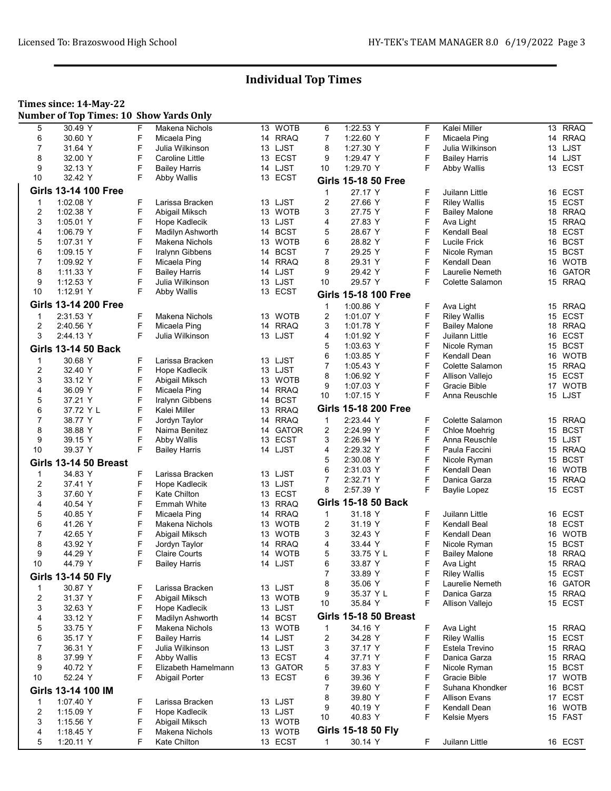### Times since: 14-May-22

Number of Top Times: 10 Show Yards Only

| 5                       | 30.49 Y                      | F | Makena Nichols        |    | 13 WOTB     | 6              | 1:22.53 Y                    | F      | Kalei Miller                           | 13 | <b>RRAQ</b>         |
|-------------------------|------------------------------|---|-----------------------|----|-------------|----------------|------------------------------|--------|----------------------------------------|----|---------------------|
| 6                       | 30.60 Y                      | F | Micaela Ping          |    | 14 RRAQ     | $\overline{7}$ | 1:22.60 Y                    | F      | Micaela Ping                           | 14 | <b>RRAQ</b>         |
| 7                       | 31.64 Y                      | F | Julia Wilkinson       |    | 13 LJST     | 8              | 1:27.30 Y                    | F      | Julia Wilkinson                        | 13 | LJST                |
| 8                       | 32.00 Y                      | F | Caroline Little       |    | 13 ECST     | 9              | 1:29.47 Y                    | F      | <b>Bailey Harris</b>                   | 14 | LJST                |
| 9                       | 32.13 Y                      | F | <b>Bailey Harris</b>  |    | 14 LJST     | 10             | 1:29.70 Y                    | F      | Abby Wallis                            |    | 13 ECST             |
| 10                      | 32.42 Y                      | F | Abby Wallis           |    | 13 ECST     |                | <b>Girls 15-18 50 Free</b>   |        |                                        |    |                     |
|                         | <b>Girls 13-14 100 Free</b>  |   |                       |    |             | 1              | 27.17 Y                      | F      | Juilann Little                         | 16 | <b>ECST</b>         |
| $\mathbf 1$             | 1:02.08 Y                    | F | Larissa Bracken       |    | 13 LJST     | 2              | 27.66 Y                      | F      | <b>Riley Wallis</b>                    | 15 | <b>ECST</b>         |
| $\overline{\mathbf{c}}$ | 1:02.38 Y                    | F | Abigail Miksch        |    | 13 WOTB     | 3              | 27.75 Y                      | F      | <b>Bailey Malone</b>                   | 18 | <b>RRAQ</b>         |
| 3                       | 1:05.01 Y                    | F | Hope Kadlecik         |    | 13 LJST     | 4              | 27.83 Y                      | F      | Ava Light                              | 15 | <b>RRAQ</b>         |
| 4                       | 1:06.79 Y                    | F | Madilyn Ashworth      |    | 14 BCST     | 5              | 28.67 Y                      | F      | Kendall Beal                           | 18 | <b>ECST</b>         |
| 5                       | 1.07.31 Y                    | F | Makena Nichols        | 13 | <b>WOTB</b> | 6              | 28.82 Y                      | F      | Lucile Frick                           | 16 | <b>BCST</b>         |
| 6                       | 1:09.15 Y                    | F | Iralynn Gibbens       |    | 14 BCST     | $\overline{7}$ | 29.25 Y                      | F      | Nicole Ryman                           |    | 15 BCST             |
| 7                       | 1:09.92 Y                    | F | Micaela Ping          |    | 14 RRAQ     | 8              | 29.31 Y                      | F      | Kendall Dean                           | 16 | <b>WOTB</b>         |
| 8                       | 1:11.33 Y                    | F | <b>Bailey Harris</b>  |    | 14 LJST     | 9              | 29.42 Y                      | F      | Laurelie Nemeth                        | 16 | <b>GATOR</b>        |
| 9                       | 1:12.53 Y                    | F | Julia Wilkinson       |    | 13 LJST     | 10             | 29.57 Y                      | F      | Colette Salamon                        |    | 15 RRAQ             |
| 10                      | 1:12.91 Y                    | F | Abby Wallis           |    | 13 ECST     |                | <b>Girls 15-18 100 Free</b>  |        |                                        |    |                     |
|                         | <b>Girls 13-14 200 Free</b>  |   |                       |    |             | $\mathbf{1}$   | 1:00.86 Y                    | F      | Ava Light                              | 15 | <b>RRAQ</b>         |
| 1                       | 2:31.53 Y                    | F | Makena Nichols        |    | 13 WOTB     | 2              | 1:01.07 Y                    | F      | <b>Riley Wallis</b>                    | 15 | ECST                |
| 2                       | 2:40.56 Y                    | F | Micaela Ping          | 14 | <b>RRAQ</b> | 3              | 1:01.78 Y                    | F      | <b>Bailey Malone</b>                   | 18 | <b>RRAQ</b>         |
| 3                       | 2:44.13 Y                    | F | Julia Wilkinson       |    | 13 LJST     | 4              | 1:01.92 Y                    | F      | Juilann Little                         | 16 | <b>ECST</b>         |
|                         |                              |   |                       |    |             | 5              | 1:03.63 Y                    | F      | Nicole Ryman                           |    | 15 BCST             |
|                         | <b>Girls 13-14 50 Back</b>   |   |                       |    |             | 6              | 1:03.85 Y                    | F      | Kendall Dean                           | 16 | <b>WOTB</b>         |
| $\mathbf 1$             | 30.68 Y                      | F | Larissa Bracken       |    | 13 LJST     | 7              | 1:05.43 Y                    | F      | Colette Salamon                        | 15 | <b>RRAQ</b>         |
| 2                       | 32.40 Y                      | F | Hope Kadlecik         |    | 13 LJST     | 8              | 1:06.92 Y                    | F      | Allison Vallejo                        | 15 | <b>ECST</b>         |
| 3                       | 33.12 Y                      | F | Abigail Miksch        |    | 13 WOTB     | 9              | 1:07.03 Y                    | F      | Gracie Bible                           | 17 | <b>WOTB</b>         |
| 4                       | 36.09 Y                      | F | Micaela Ping          |    | 14 RRAQ     | 10             | 1:07.15 Y                    | F      | Anna Reuschle                          |    | 15 LJST             |
| 5                       | 37.21 Y                      | F | Iralynn Gibbens       | 14 | <b>BCST</b> |                |                              |        |                                        |    |                     |
| 6                       | 37.72 Y L                    | F | Kalei Miller          |    | 13 RRAQ     |                | <b>Girls 15-18 200 Free</b>  |        |                                        |    |                     |
| $\overline{7}$          | 38.77 Y                      | F | Jordyn Taylor         | 14 | <b>RRAQ</b> | $\mathbf{1}$   | 2:23.44 Y                    | F      | Colette Salamon                        |    | 15 RRAQ             |
| 8                       | 38.88 Y                      | F | Naima Benitez         |    | 14 GATOR    | 2              | 2:24.99 Y                    | F      | <b>Chloe Moehrig</b>                   | 15 | <b>BCST</b>         |
| 9                       | 39.15 Y                      | F | <b>Abby Wallis</b>    | 13 | <b>ECST</b> | 3              | 2:26.94 Y                    | F      | Anna Reuschle                          | 15 | LJST                |
| 10                      | 39.37 Y                      | F | <b>Bailey Harris</b>  |    | 14 LJST     | 4              | 2:29.32 Y                    | F      | Paula Faccini                          | 15 | <b>RRAQ</b>         |
|                         | <b>Girls 13-14 50 Breast</b> |   |                       |    |             | 5              | 2:30.08 Y                    | F      | Nicole Ryman                           | 15 | <b>BCST</b>         |
| $\mathbf 1$             | 34.83 Y                      | F | Larissa Bracken       |    | 13 LJST     | 6              | 2:31.03 Y                    | F      | Kendall Dean                           | 16 | <b>WOTB</b>         |
| 2                       | 37.41 Y                      | F | Hope Kadlecik         |    | 13 LJST     | 7              | 2:32.71 Y                    | F      | Danica Garza                           | 15 | <b>RRAQ</b>         |
| 3                       | 37.60 Y                      | F | <b>Kate Chilton</b>   |    | 13 ECST     | 8              | 2:57.39 Y                    | F      | Baylie Lopez                           |    | 15 ECST             |
| 4                       | 40.54 Y                      | F | Emmah White           |    | 13 RRAQ     |                | <b>Girls 15-18 50 Back</b>   |        |                                        |    |                     |
| 5                       | 40.85 Y                      | F | Micaela Ping          |    | 14 RRAQ     | $\mathbf{1}$   | 31.18 Y                      | F      | Juilann Little                         | 16 | <b>ECST</b>         |
| 6                       | 41.26 Y                      | F | Makena Nichols        |    | 13 WOTB     | 2              | 31.19 Y                      | F      | Kendall Beal                           | 18 | <b>ECST</b>         |
| 7                       | 42.65 Y                      | F | Abigail Miksch        | 13 | <b>WOTB</b> | 3              | 32.43 Y                      | F      | Kendall Dean                           | 16 | <b>WOTB</b>         |
| 8                       | 43.92 Y                      | F | Jordyn Taylor         |    | 14 RRAQ     | 4              | 33.44 Y                      | F      | Nicole Ryman                           | 15 | <b>BCST</b>         |
| 9                       | 44.29 Y                      | F | <b>Claire Courts</b>  | 14 | <b>WOTB</b> | 5              | 33.75 Y L                    | F      | <b>Bailey Malone</b>                   | 18 | <b>RRAQ</b>         |
| 10                      | 44.79 Y                      | F | <b>Bailey Harris</b>  |    | 14 LJST     | 6              | 33.87 Y                      | F      | Ava Light                              |    | 15 RRAQ             |
|                         |                              |   |                       |    |             |                | 33.89 Y                      |        |                                        |    |                     |
|                         | Girls 13-14 50 Fly           |   |                       |    |             | 8              | 35.06 Y                      | F<br>F | <b>Riley Wallis</b><br>Laurelie Nemeth |    | 15 ECST<br>16 GATOR |
| $\mathbf 1$             | 30.87 Y                      | F | Larissa Bracken       |    | 13 LJST     | 9              | 35.37 Y L                    | F      | Danica Garza                           |    | 15 RRAQ             |
| 2                       | 31.37 Y                      | F | Abigail Miksch        |    | 13 WOTB     | 10             | 35.84 Y                      | F      | Allison Vallejo                        |    | 15 ECST             |
| 3                       | 32.63 Y                      | F | Hope Kadlecik         |    | 13 LJST     |                |                              |        |                                        |    |                     |
| 4                       | 33.12 Y                      | F | Madilyn Ashworth      |    | 14 BCST     |                | <b>Girls 15-18 50 Breast</b> |        |                                        |    |                     |
| 5                       | 33.75 Y                      | F | Makena Nichols        |    | 13 WOTB     | 1              | 34.16 Y                      | F      | Ava Light                              |    | 15 RRAQ             |
| 6                       | 35.17 Y                      | F | <b>Bailey Harris</b>  |    | 14 LJST     | 2              | 34.28 Y                      | F      | <b>Riley Wallis</b>                    |    | 15 ECST             |
| 7                       | 36.31 Y                      | F | Julia Wilkinson       |    | 13 LJST     | 3              | 37.17 Y                      | F      | Estela Trevino                         |    | 15 RRAQ             |
| 8                       | 37.99 Y                      | F | Abby Wallis           |    | 13 ECST     | 4              | 37.71 Y                      | F      | Danica Garza                           |    | 15 RRAQ             |
| 9                       | 40.72 Y                      | F | Elizabeth Hamelmann   |    | 13 GATOR    | 5              | 37.83 Y                      | F      | Nicole Ryman                           |    | 15 BCST             |
| 10                      | 52.24 Y                      | F | <b>Abigail Porter</b> |    | 13 ECST     | 6              | 39.36 Y                      | F      | Gracie Bible                           |    | 17 WOTB             |
|                         | Girls 13-14 100 IM           |   |                       |    |             | 7              | 39.60 Y                      | F      | Suhana Khondker                        |    | 16 BCST             |
|                         |                              |   |                       |    |             | 8              | 39.80 Y                      | F      | <b>Allison Evans</b>                   |    | 17 ECST             |
| $\mathbf 1$             | 1.07.40 Y                    | F | Larissa Bracken       |    | 13 LJST     | 9              | 40.19 Y                      | F      | Kendall Dean                           |    | 16 WOTB             |
| $\overline{2}$          | 1:15.09 Y                    | F | Hope Kadlecik         |    | 13 LJST     | 10             | 40.83 Y                      | F      | Kelsie Myers                           |    | 15 FAST             |
| 3                       | 1:15.56 Y                    | F | Abigail Miksch        |    | 13 WOTB     |                | Girls 15-18 50 Fly           |        |                                        |    |                     |
| 4                       | 1:18.45 Y                    | F | Makena Nichols        |    | 13 WOTB     |                |                              |        |                                        |    |                     |
| 5                       | 1:20.11 Y                    | F | Kate Chilton          |    | 13 ECST     | $\mathbf 1$    | 30.14 Y                      | F      | Juilann Little                         |    | 16 ECST             |
|                         |                              |   |                       |    |             |                |                              |        |                                        |    |                     |